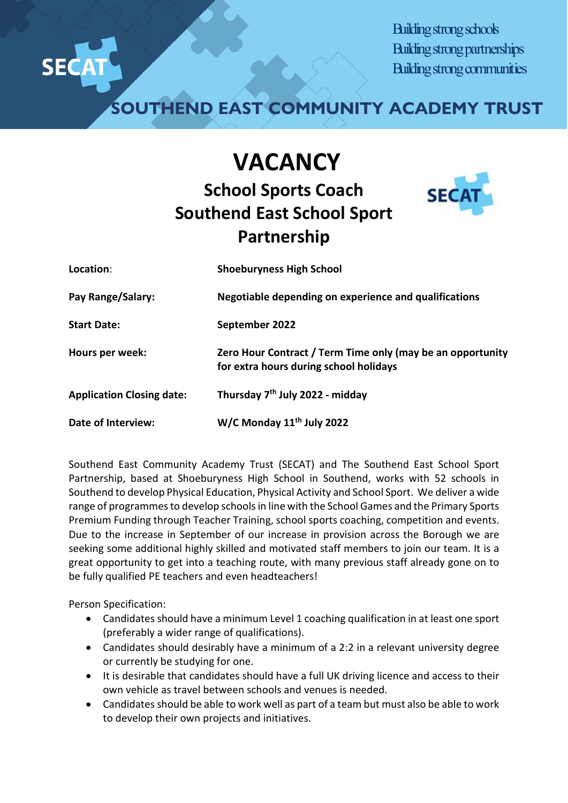

Building strong schools Building strong partnerships Building strong communities

**SOUTHEND EAST COMMUNITY ACADEMY TRUST**

## **VACANCY School Sports Coach Southend East School Sport Partnership**



| Location:                        | <b>Shoeburyness High School</b>                                                                      |
|----------------------------------|------------------------------------------------------------------------------------------------------|
| Pay Range/Salary:                | Negotiable depending on experience and qualifications                                                |
| <b>Start Date:</b>               | September 2022                                                                                       |
| Hours per week:                  | Zero Hour Contract / Term Time only (may be an opportunity<br>for extra hours during school holidays |
| <b>Application Closing date:</b> | Thursday 7 <sup>th</sup> July 2022 - midday                                                          |
| <b>Date of Interview:</b>        | W/C Monday 11 <sup>th</sup> July 2022                                                                |

Southend East Community Academy Trust (SECAT) and The Southend East School Sport Partnership, based at Shoeburyness High School in Southend, works with 52 schools in Southend to develop Physical Education, Physical Activity and School Sport. We deliver a wide range of programmes to develop schools in line with the School Games and the Primary Sports Premium Funding through Teacher Training, school sports coaching, competition and events. Due to the increase in September of our increase in provision across the Borough we are seeking some additional highly skilled and motivated staff members to join our team. It is a great opportunity to get into a teaching route, with many previous staff already gone on to be fully qualified PE teachers and even headteachers!

Person Specification:

- Candidates should have a minimum Level 1 coaching qualification in at least one sport (preferably a wider range of qualifications).
- Candidates should desirably have a minimum of a 2:2 in a relevant university degree or currently be studying for one.
- It is desirable that candidates should have a full UK driving licence and access to their own vehicle as travel between schools and venues is needed.
- Candidates should be able to work well as part of a team but must also be able to work to develop their own projects and initiatives.